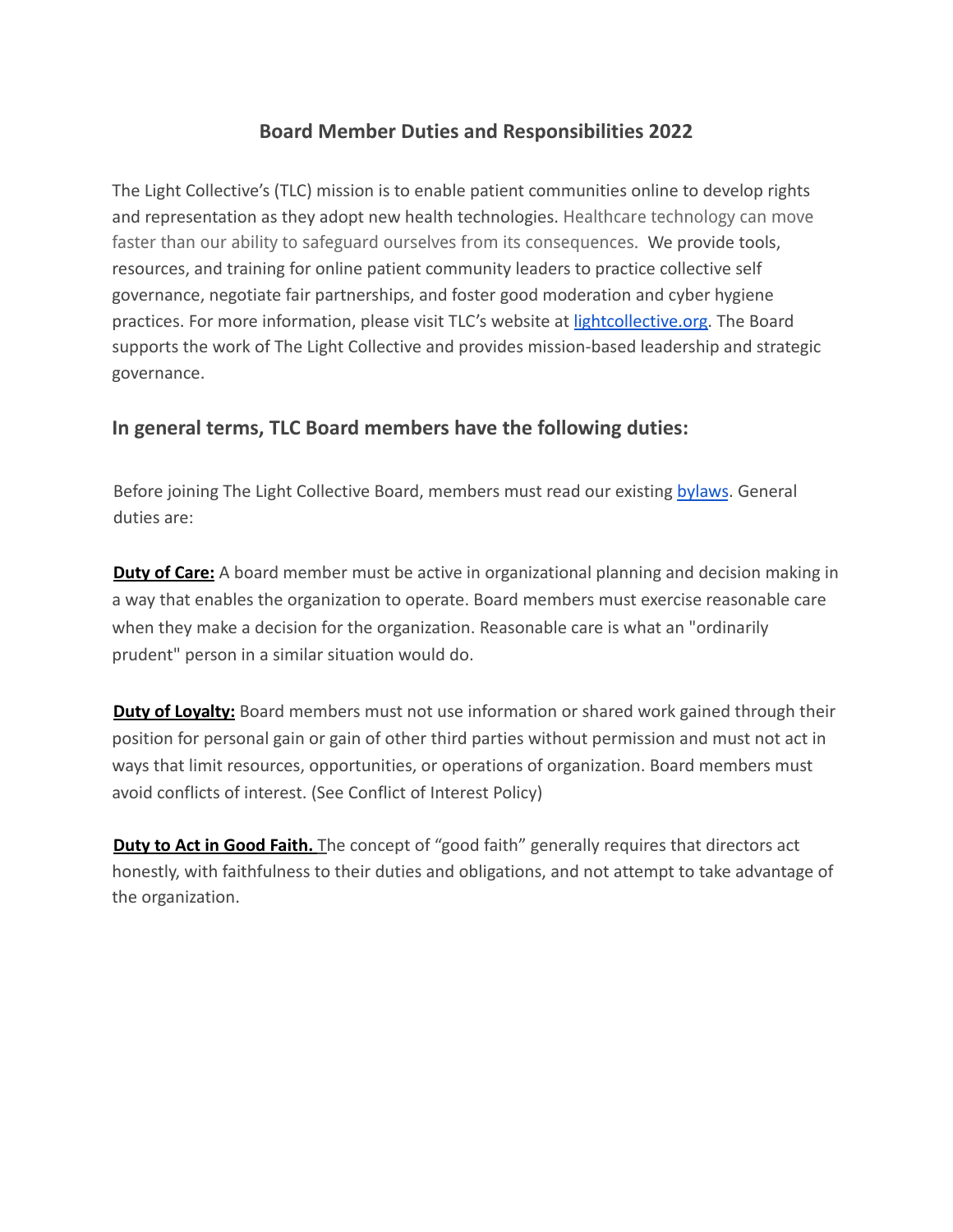# **Board Member Duties and Responsibilities 2022**

The Light Collective's (TLC) mission is to enable patient communities online to develop rights and representation as they adopt new health technologies. Healthcare technology can move faster than our ability to safeguard ourselves from its consequences. We provide tools, resources, and training for online patient community leaders to practice collective self governance, negotiate fair partnerships, and foster good moderation and cyber hygiene practices. For more information, please visit TLC's website at lightcollective.org. The Board supports the work of The Light Collective and provides mission-based leadership and strategic governance.

# **In general terms, TLC Board members have the following duties:**

Before joining The Light Collective Board, members must read our existing bylaws. General duties are:

**Duty of Care:** A board member must be active in organizational planning and decision making in a way that enables the organization to operate. Board members must exercise reasonable care when they make a decision for the organization. Reasonable care is what an "ordinarily prudent" person in a similar situation would do.

**Duty of Loyalty:** Board members must not use information or shared work gained through their position for personal gain or gain of other third parties without permission and must not act in ways that limit resources, opportunities, or operations of organization. Board members must avoid conflicts of interest. (See Conflict of Interest Policy)

**Duty to Act in Good Faith.** The concept of "good faith" generally requires that directors act honestly, with faithfulness to their duties and obligations, and not attempt to take advantage of the organization.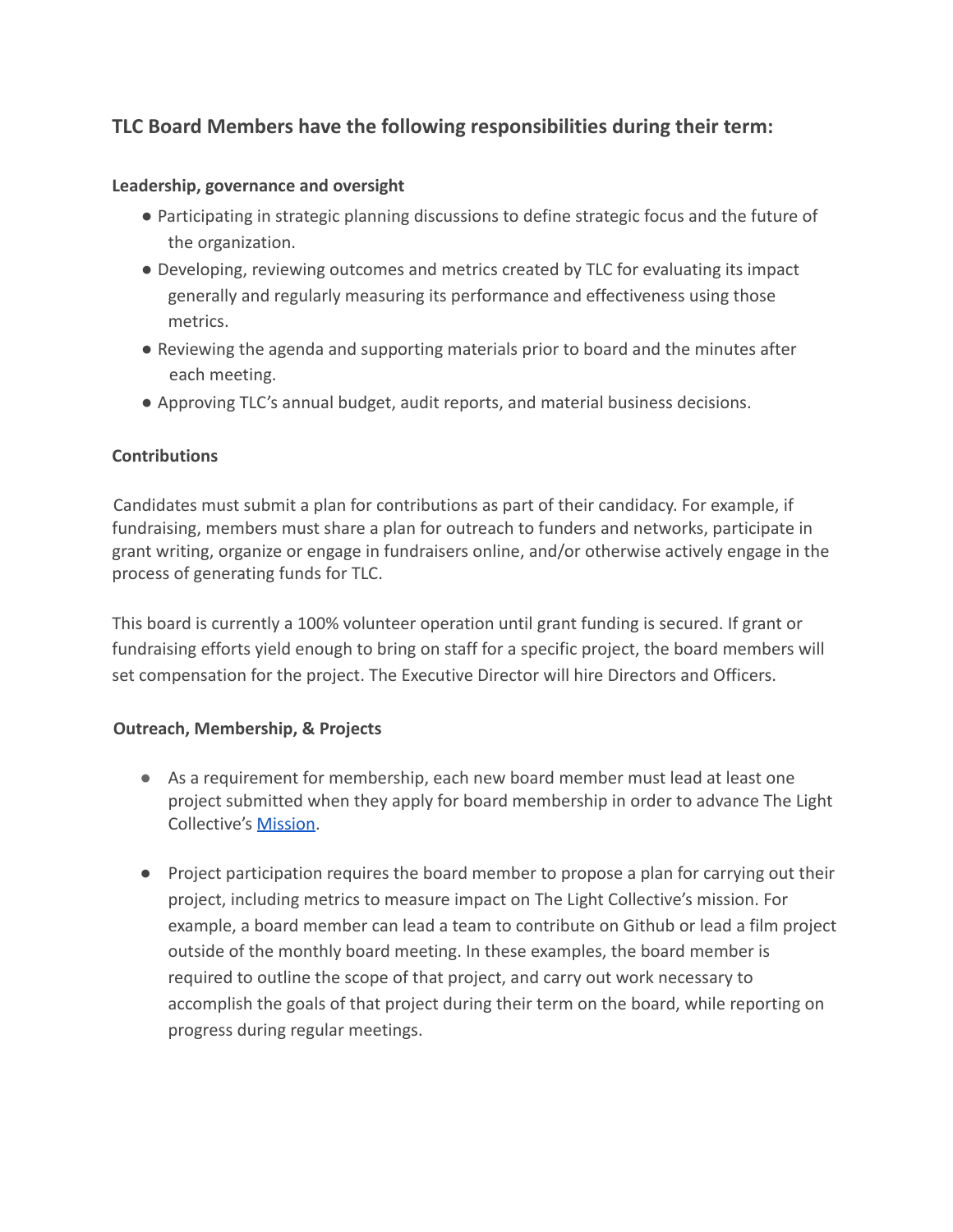# **TLC Board Members have the following responsibilities during their term:**

### **Leadership, governance and oversight**

- Participating in strategic planning discussions to define strategic focus and the future of the organization.
- Developing, reviewing outcomes and metrics created by TLC for evaluating its impact generally and regularly measuring its performance and effectiveness using those metrics.
- Reviewing the agenda and supporting materials prior to board and the minutes after each meeting.
- Approving TLC's annual budget, audit reports, and material business decisions.

## **Contributions**

Candidates must submit a plan for contributions as part of their candidacy. For example, if fundraising, members must share a plan for outreach to funders and networks, participate in grant writing, organize or engage in fundraisers online, and/or otherwise actively engage in the process of generating funds for TLC.

This board is currently a 100% volunteer operation until grant funding is secured. If grant or fundraising efforts yield enough to bring on staff for a specific project, the board members will set compensation for the project. The Executive Director will hire Directors and Officers.

#### **Outreach, Membership, & Projects**

- As a requirement for membership, each new board member must lead at least one project submitted when they apply for board membership in order to advance The Light Collective's Mission.
- Project participation requires the board member to propose a plan for carrying out their project, including metrics to measure impact on The Light Collective's mission. For example, a board member can lead a team to contribute on Github or lead a film project outside of the monthly board meeting. In these examples, the board member is required to outline the scope of that project, and carry out work necessary to accomplish the goals of that project during their term on the board, while reporting on progress during regular meetings.